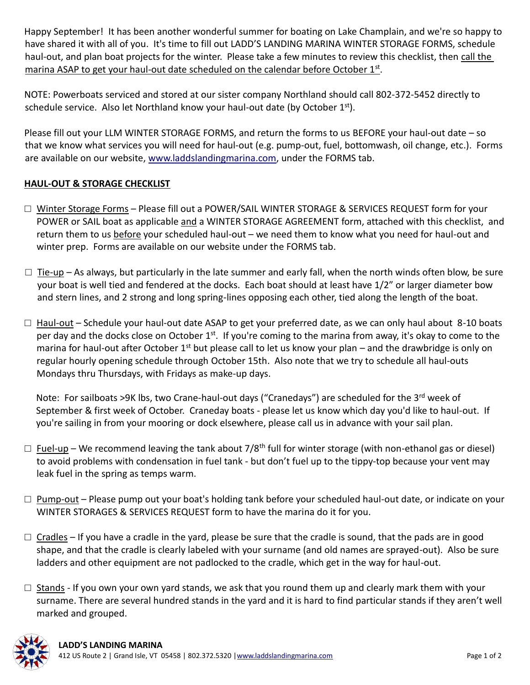Happy September! It has been another wonderful summer for boating on Lake Champlain, and we're so happy to have shared it with all of you. It's time to fill out LADD'S LANDING MARINA WINTER STORAGE FORMS, schedule haul-out, and plan boat projects for the winter. Please take a few minutes to review this checklist, then call the marina ASAP to get your haul-out date scheduled on the calendar before October 1st.

NOTE: Powerboats serviced and stored at our sister company Northland should call 802-372-5452 directly to schedule service. Also let Northland know your haul-out date (by October  $1<sup>st</sup>$ ).

Please fill out your LLM WINTER STORAGE FORMS, and return the forms to us BEFORE your haul-out date – so that we know what services you will need for haul-out (e.g. pump-out, fuel, bottomwash, oil change, etc.). Forms are available on our website, [www.laddslandingmarina.com,](http://www.laddslandingmarina.com/) under the FORMS tab.

## **HAUL-OUT & STORAGE CHECKLIST**

- □ Winter Storage Forms Please fill out a POWER/SAIL WINTER STORAGE & SERVICES REQUEST form for your POWER or SAIL boat as applicable and a WINTER STORAGE AGREEMENT form, attached with this checklist, and return them to us before your scheduled haul-out – we need them to know what you need for haul-out and winter prep. Forms are available on our website under the FORMS tab.
- $\square$  Tie-up As always, but particularly in the late summer and early fall, when the north winds often blow, be sure your boat is well tied and fendered at the docks. Each boat should at least have 1/2" or larger diameter bow and stern lines, and 2 strong and long spring-lines opposing each other, tied along the length of the boat.
- □ Haul-out Schedule your haul-out date ASAP to get your preferred date, as we can only haul about 8-10 boats per day and the docks close on October 1<sup>st</sup>. If you're coming to the marina from away, it's okay to come to the marina for haul-out after October  $1^{st}$  but please call to let us know your plan – and the drawbridge is only on regular hourly opening schedule through October 15th. Also note that we try to schedule all haul-outs Mondays thru Thursdays, with Fridays as make-up days.

Note: For sailboats >9K lbs, two Crane-haul-out days ("Cranedays") are scheduled for the 3<sup>rd</sup> week of September & first week of October. Craneday boats - please let us know which day you'd like to haul-out. If you're sailing in from your mooring or dock elsewhere, please call us in advance with your sail plan.

- $\Box$  Fuel-up We recommend leaving the tank about 7/8<sup>th</sup> full for winter storage (with non-ethanol gas or diesel) to avoid problems with condensation in fuel tank - but don't fuel up to the tippy-top because your vent may leak fuel in the spring as temps warm.
- □ Pump-out Please pump out your boat's holding tank before your scheduled haul-out date, or indicate on your WINTER STORAGES & SERVICES REQUEST form to have the marina do it for you.
- $\Box$  Cradles If you have a cradle in the yard, please be sure that the cradle is sound, that the pads are in good shape, and that the cradle is clearly labeled with your surname (and old names are sprayed-out). Also be sure ladders and other equipment are not padlocked to the cradle, which get in the way for haul-out.
- $\square$  Stands If you own your own yard stands, we ask that you round them up and clearly mark them with your surname. There are several hundred stands in the yard and it is hard to find particular stands if they aren't well marked and grouped.